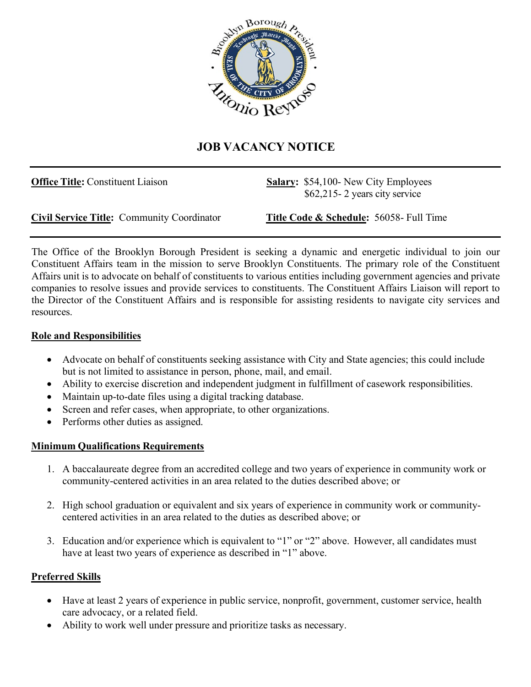

## **JOB VACANCY NOTICE**

**Office Title:** Constituent Liaison **Salary:** \$54,100- New City Employees \$62,215- 2 years city service

**Civil Service Title:** Community Coordinator **Title Code & Schedule:** 56058- Full Time

The Office of the Brooklyn Borough President is seeking a dynamic and energetic individual to join our Constituent Affairs team in the mission to serve Brooklyn Constituents. The primary role of the Constituent Affairs unit is to advocate on behalf of constituents to various entities including government agencies and private companies to resolve issues and provide services to constituents. The Constituent Affairs Liaison will report to the Director of the Constituent Affairs and is responsible for assisting residents to navigate city services and resources.

## **Role and Responsibilities**

- Advocate on behalf of constituents seeking assistance with City and State agencies; this could include but is not limited to assistance in person, phone, mail, and email.
- Ability to exercise discretion and independent judgment in fulfillment of casework responsibilities.
- Maintain up-to-date files using a digital tracking database.
- Screen and refer cases, when appropriate, to other organizations.
- Performs other duties as assigned.

## **Minimum Qualifications Requirements**

- 1. A baccalaureate degree from an accredited college and two years of experience in community work or community-centered activities in an area related to the duties described above; or
- 2. High school graduation or equivalent and six years of experience in community work or communitycentered activities in an area related to the duties as described above; or
- 3. Education and/or experience which is equivalent to "1" or "2" above. However, all candidates must have at least two years of experience as described in "1" above.

## **Preferred Skills**

- Have at least 2 years of experience in public service, nonprofit, government, customer service, health care advocacy, or a related field.
- Ability to work well under pressure and prioritize tasks as necessary.